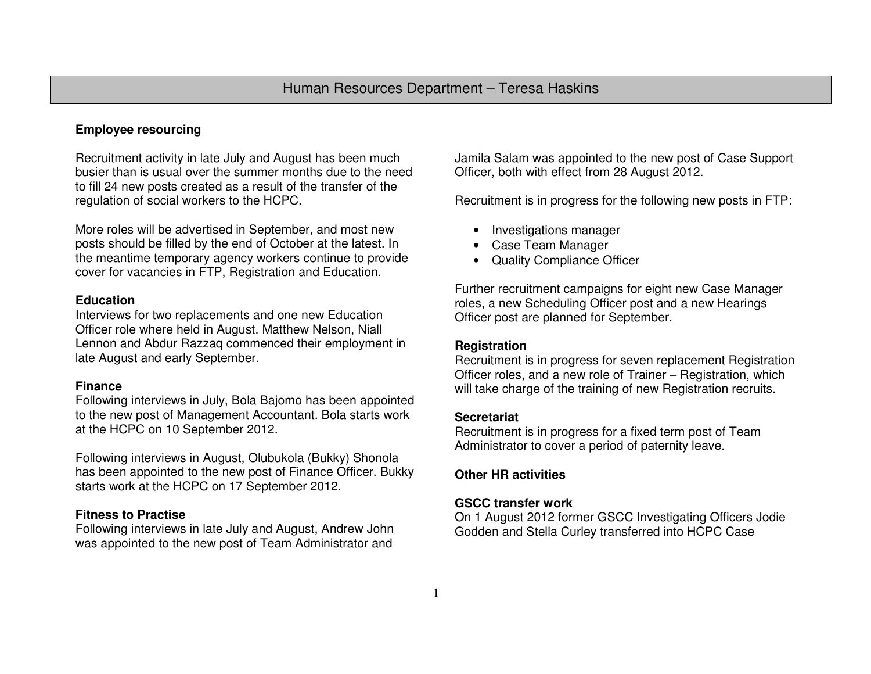# **Employee resourcing**

Recruitment activity in late July and August has been much busier than is usual over the summer months due to the need to fill 24 new posts created as a result of the transfer of the regulation of social workers to the HCPC.

More roles will be advertised in September, and most new posts should be filled by the end of October at the latest. In the meantime temporary agency workers continue to provide cover for vacancies in FTP, Registration and Education.

#### **Education**

 Interviews for two replacements and one new Education Officer role where held in August. Matthew Nelson, Niall Lennon and Abdur Razzaq commenced their employment in late August and early September.

#### **Finance**

 Following interviews in July, Bola Bajomo has been appointed to the new post of Management Accountant. Bola starts work at the HCPC on 10 September 2012.

Following interviews in August, Olubukola (Bukky) Shonola has been appointed to the new post of Finance Officer. Bukky starts work at the HCPC on 17 September 2012.

## **Fitness to Practise**

 Following interviews in late July and August, Andrew John was appointed to the new post of Team Administrator and

Jamila Salam was appointed to the new post of Case Support Officer, both with effect from 28 August 2012.

Recruitment is in progress for the following new posts in FTP:

- Investigations manager
- Case Team Manager
- Quality Compliance Officer

Further recruitment campaigns for eight new Case Manager roles, a new Scheduling Officer post and a new Hearings Officer post are planned for September.

## **Registration**

 Recruitment is in progress for seven replacement Registration Officer roles, and a new role of Trainer – Registration, which will take charge of the training of new Registration recruits.

## **Secretariat**

 Recruitment is in progress for a fixed term post of Team Administrator to cover a period of paternity leave.

## **Other HR activities**

## **GSCC transfer work**

 On 1 August 2012 former GSCC Investigating Officers Jodie Godden and Stella Curley transferred into HCPC Case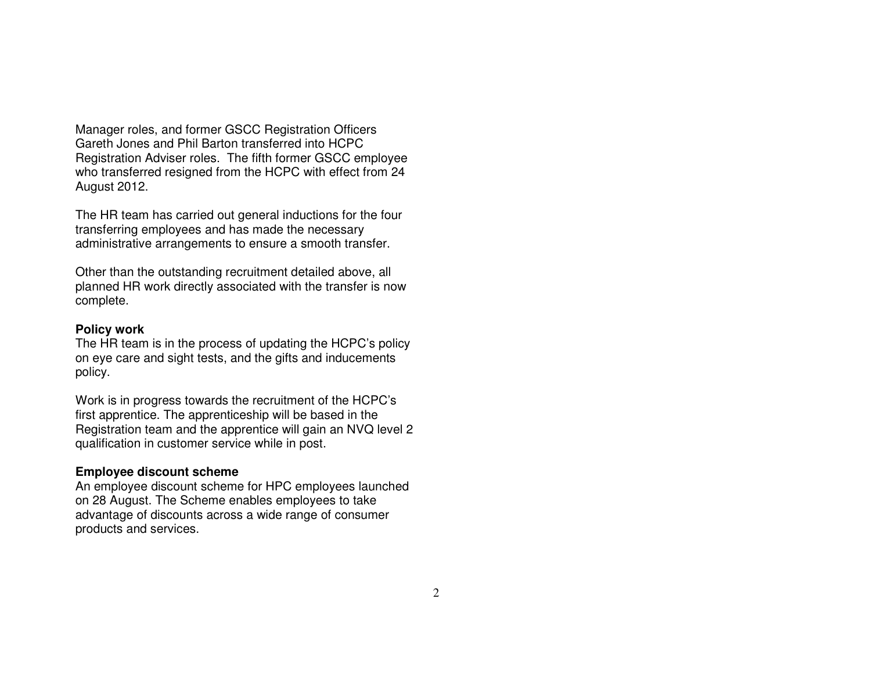Manager roles, and former GSCC Registration Officers Gareth Jones and Phil Barton transferred into HCPC Registration Adviser roles. The fifth former GSCC employee who transferred resigned from the HCPC with effect from 24 August 2012.

The HR team has carried out general inductions for the four transferring employees and has made the necessary administrative arrangements to ensure a smooth transfer.

Other than the outstanding recruitment detailed above, all planned HR work directly associated with the transfer is now complete.

#### **Policy work**

 The HR team is in the process of updating the HCPC's policy on eye care and sight tests, and the gifts and inducements policy.

Work is in progress towards the recruitment of the HCPC's first apprentice. The apprenticeship will be based in the Registration team and the apprentice will gain an NVQ level 2 qualification in customer service while in post.

#### **Employee discount scheme**

 An employee discount scheme for HPC employees launched on 28 August. The Scheme enables employees to take advantage of discounts across a wide range of consumer products and services.